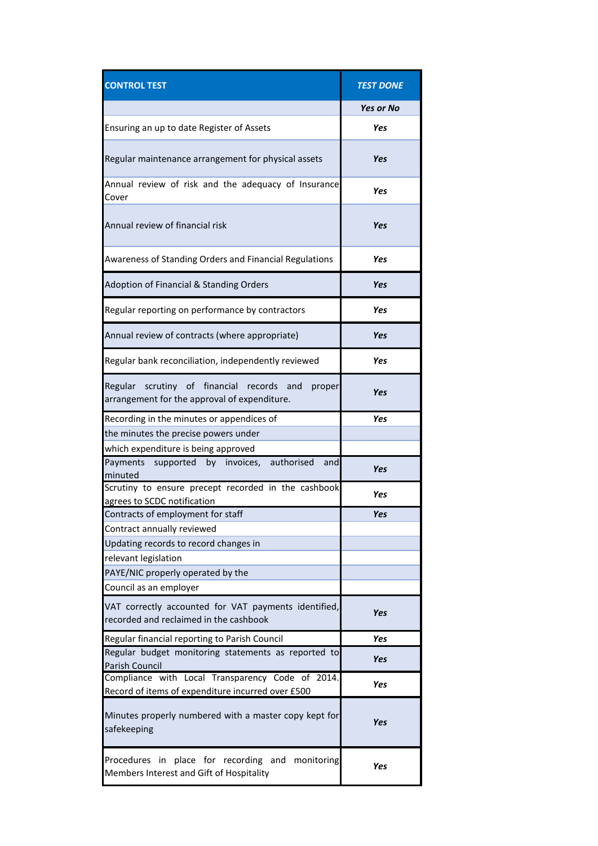| <b>CONTROL TEST</b>                                                                                    | <b>TEST DONE</b> |
|--------------------------------------------------------------------------------------------------------|------------------|
|                                                                                                        | <b>Yes or No</b> |
| Ensuring an up to date Register of Assets                                                              | Yes              |
| Regular maintenance arrangement for physical assets                                                    | Yes              |
| Annual review of risk and the adequacy of Insurance<br>Cover                                           | Yes              |
| Annual review of financial risk                                                                        | Yes              |
| Awareness of Standing Orders and Financial Regulations                                                 | Yes              |
| Adoption of Financial & Standing Orders                                                                | Yes              |
| Regular reporting on performance by contractors                                                        | Yes              |
| Annual review of contracts (where appropriate)                                                         | Yes              |
| Regular bank reconciliation, independently reviewed                                                    | Yes              |
| Regular scrutiny of financial records<br>and<br>proper<br>arrangement for the approval of expenditure. | Yes              |
| Recording in the minutes or appendices of                                                              | Yes              |
| the minutes the precise powers under                                                                   |                  |
| which expenditure is being approved                                                                    |                  |
| supported by invoices, authorised<br>Payments<br>and<br>minuted                                        | Yes              |
| Scrutiny to ensure precept recorded in the cashbook<br>agrees to SCDC notification                     | Yes              |
| Contracts of employment for staff                                                                      | Yes              |
| Contract annually reviewed                                                                             |                  |
| Updating records to record changes in                                                                  |                  |
| relevant legislation                                                                                   |                  |
| PAYE/NIC properly operated by the                                                                      |                  |
| Council as an employer                                                                                 |                  |
| VAT correctly accounted for VAT payments identified,<br>recorded and reclaimed in the cashbook         | Yes              |
| Regular financial reporting to Parish Council                                                          | Yes              |
| Regular budget monitoring statements as reported to<br>Parish Council                                  | Yes              |
| Compliance with Local Transparency Code of 2014.<br>Record of items of expenditure incurred over £500  | Yes              |
| Minutes properly numbered with a master copy kept for<br>safekeeping                                   | Yes              |
| Procedures in place for recording and monitoring<br>Members Interest and Gift of Hospitality           | Yes              |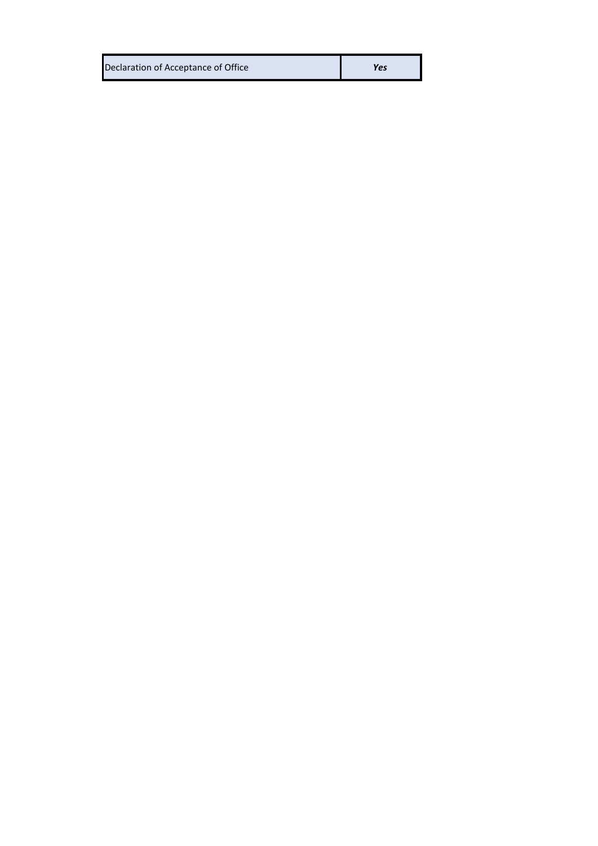| Declaration of Acceptance of Office | Yes |
|-------------------------------------|-----|
|                                     |     |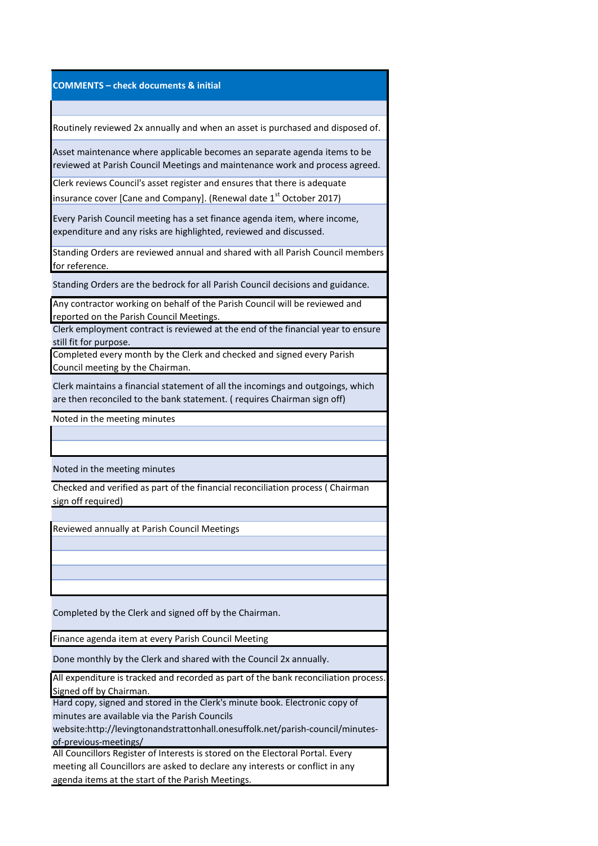## **COMMENTS – check documents & initial**

Routinely reviewed 2x annually and when an asset is purchased and disposed of.

Asset maintenance where applicable becomes an separate agenda items to be reviewed at Parish Council Meetings and maintenance work and process agreed.

Clerk reviews Council's asset register and ensures that there is adequate insurance cover [Cane and Company]. (Renewal date  $1<sup>st</sup>$  October 2017)

Every Parish Council meeting has a set finance agenda item, where income, expenditure and any risks are highlighted, reviewed and discussed.

Standing Orders are reviewed annual and shared with all Parish Council members for reference.

Standing Orders are the bedrock for all Parish Council decisions and guidance.

Any contractor working on behalf of the Parish Council will be reviewed and reported on the Parish Council Meetings.

Clerk employment contract is reviewed at the end of the financial year to ensure still fit for purpose.

Completed every month by the Clerk and checked and signed every Parish Council meeting by the Chairman.

Clerk maintains a financial statement of all the incomings and outgoings, which are then reconciled to the bank statement. ( requires Chairman sign off)

Noted in the meeting minutes

Noted in the meeting minutes

Checked and verified as part of the financial reconciliation process ( Chairman sign off required)

Reviewed annually at Parish Council Meetings

Completed by the Clerk and signed off by the Chairman.

Finance agenda item at every Parish Council Meeting

Done monthly by the Clerk and shared with the Council 2x annually.

All expenditure is tracked and recorded as part of the bank reconciliation process. Signed off by Chairman.

Hard copy, signed and stored in the Clerk's minute book. Electronic copy of minutes are available via the Parish Councils

website:http://levingtonandstrattonhall.onesuffolk.net/parish-council/minutesof-previous-meetings/

All Councillors Register of Interests is stored on the Electoral Portal. Every meeting all Councillors are asked to declare any interests or conflict in any agenda items at the start of the Parish Meetings.